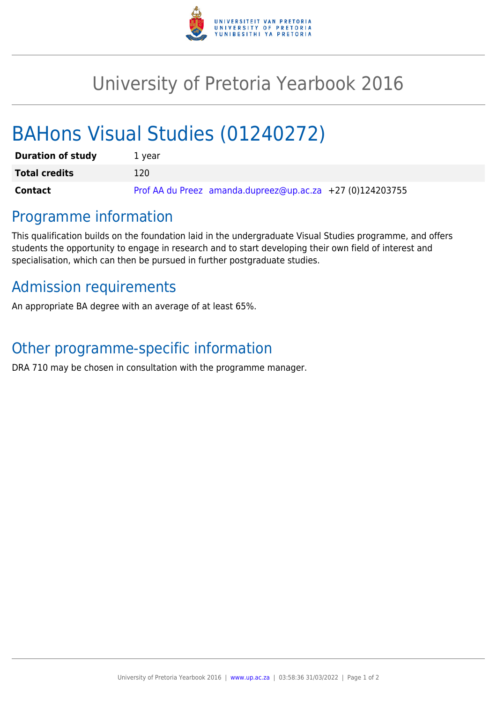

## University of Pretoria Yearbook 2016

# BAHons Visual Studies (01240272)

| <b>Duration of study</b> | 1 vear                                                      |
|--------------------------|-------------------------------------------------------------|
| <b>Total credits</b>     | 120                                                         |
| Contact                  | Prof AA du Preez amanda.dupreez@up.ac.za $+27$ (0)124203755 |

### Programme information

This qualification builds on the foundation laid in the undergraduate Visual Studies programme, and offers students the opportunity to engage in research and to start developing their own field of interest and specialisation, which can then be pursued in further postgraduate studies.

### Admission requirements

An appropriate BA degree with an average of at least 65%.

### Other programme-specific information

DRA 710 may be chosen in consultation with the programme manager.